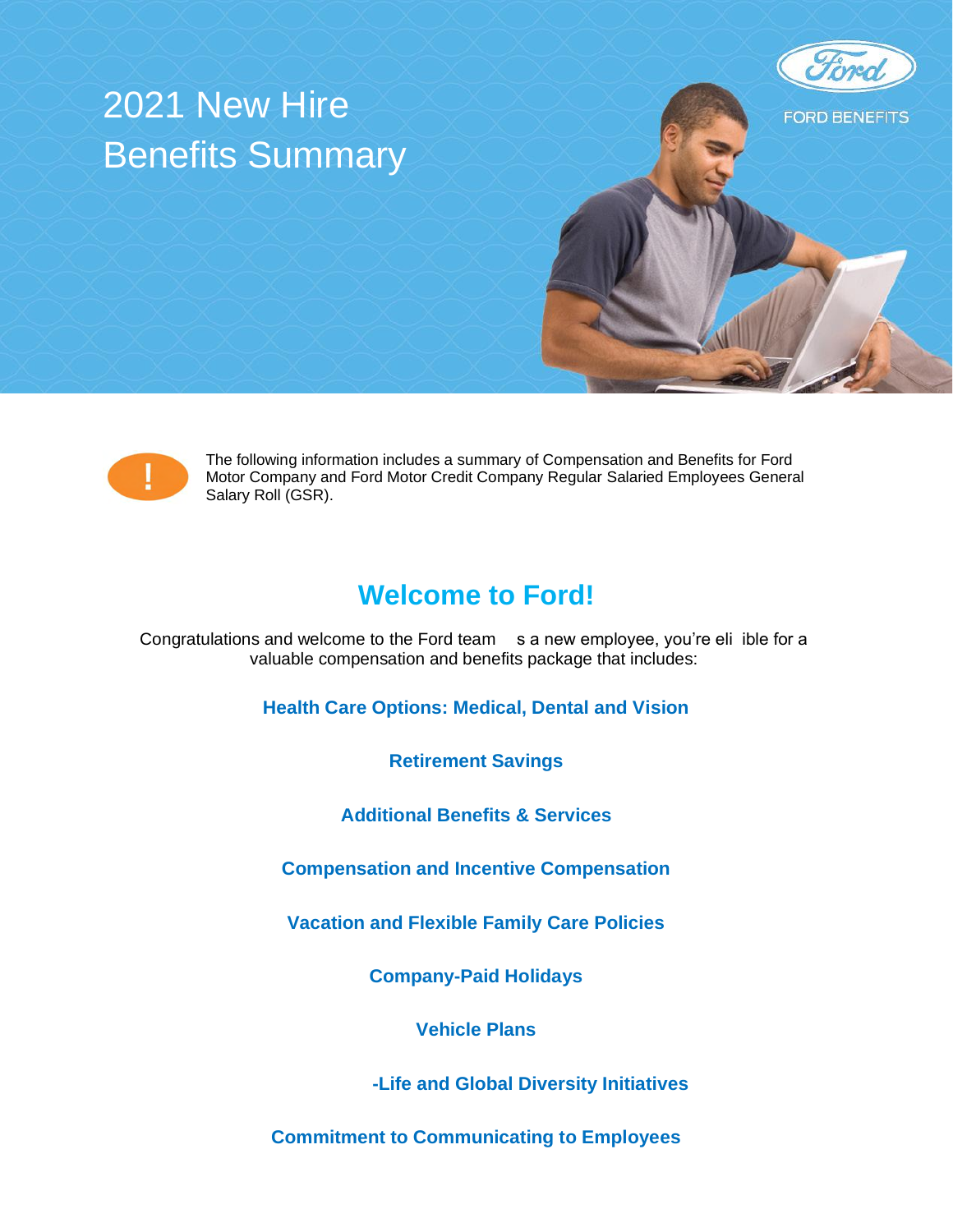# 2021 New Hire Benefits Summary





The following information includes a summary of Compensation and Benefits for Ford Motor Company and Ford Motor Credit Company Regular Salaried Employees General Salary Roll (GSR).

# **Welcome to Ford!**

Congratulations and welcome to the Ford team As a new employee, you're eli lible for a valuable compensation and benefits package that includes:

**Health Care Options: Medical, Dental and Vision** 

**Retirement Savings** 

**Additional Benefits & Services** 

**Compensation and Incentive Compensation** 

**Vacation and Flexible Family Care Policies** 

**Company-Paid Holidays** 

**Vehicle Plans** 

**Ford's Work-Life and Global Diversity Initiatives** 

**Commitment to Communicating to Employees**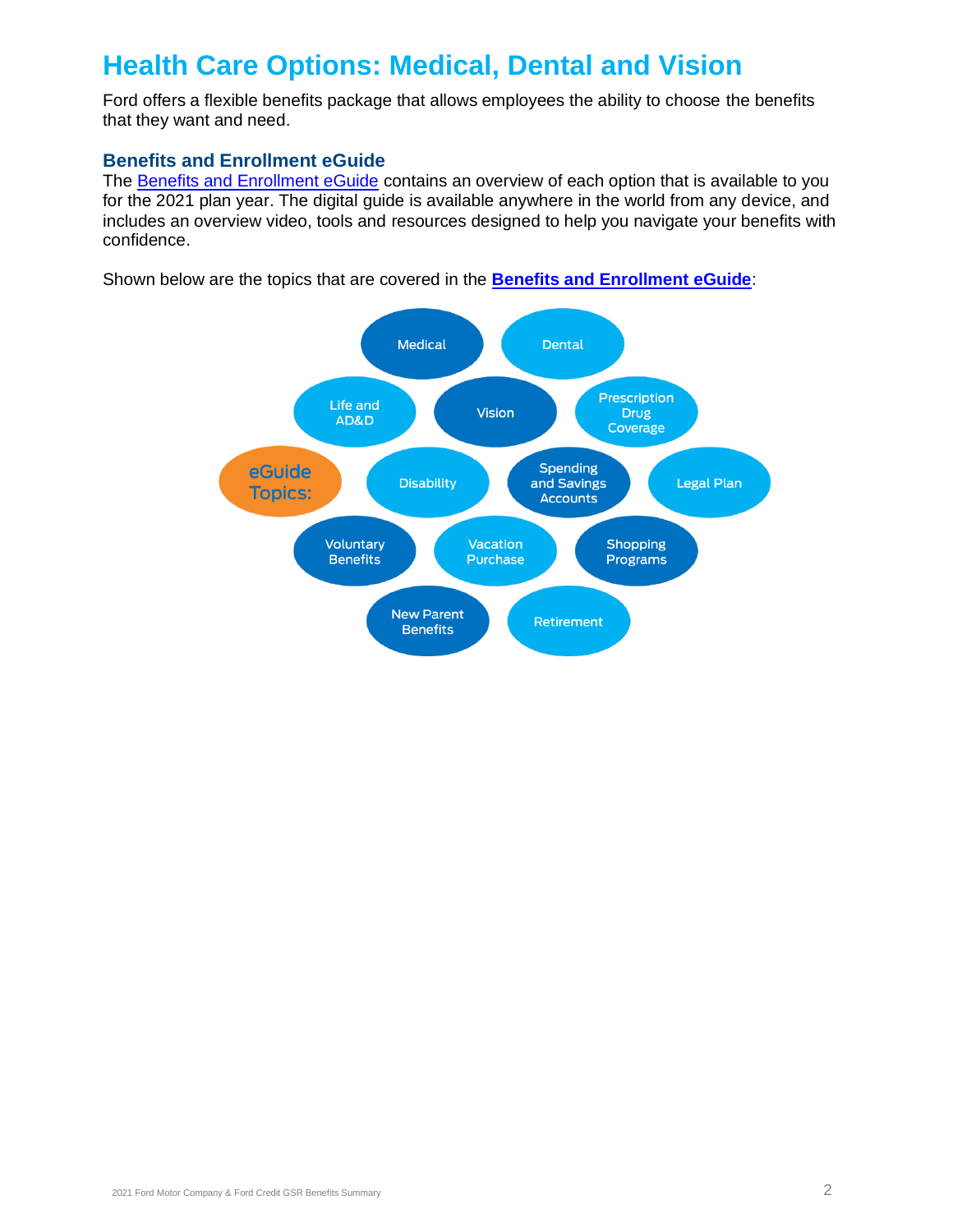# **Health Care Options: Medical, Dental and Vision**

Ford offers a flexible benefits package that allows employees the ability to choose the benefits that they want and need.

### **Benefits and Enrollment eGuide**

The Benefits and Enrollment eGuide contains an overview of each option that is available to you for the 2021 plan year. The digital guide is available anywhere in the world from any device, and includes an overview video, tools and resources designed to help you navigate your benefits with confidence.

Shown below are the topics that are covered in the **Benefits and Enrollment eGuide**:

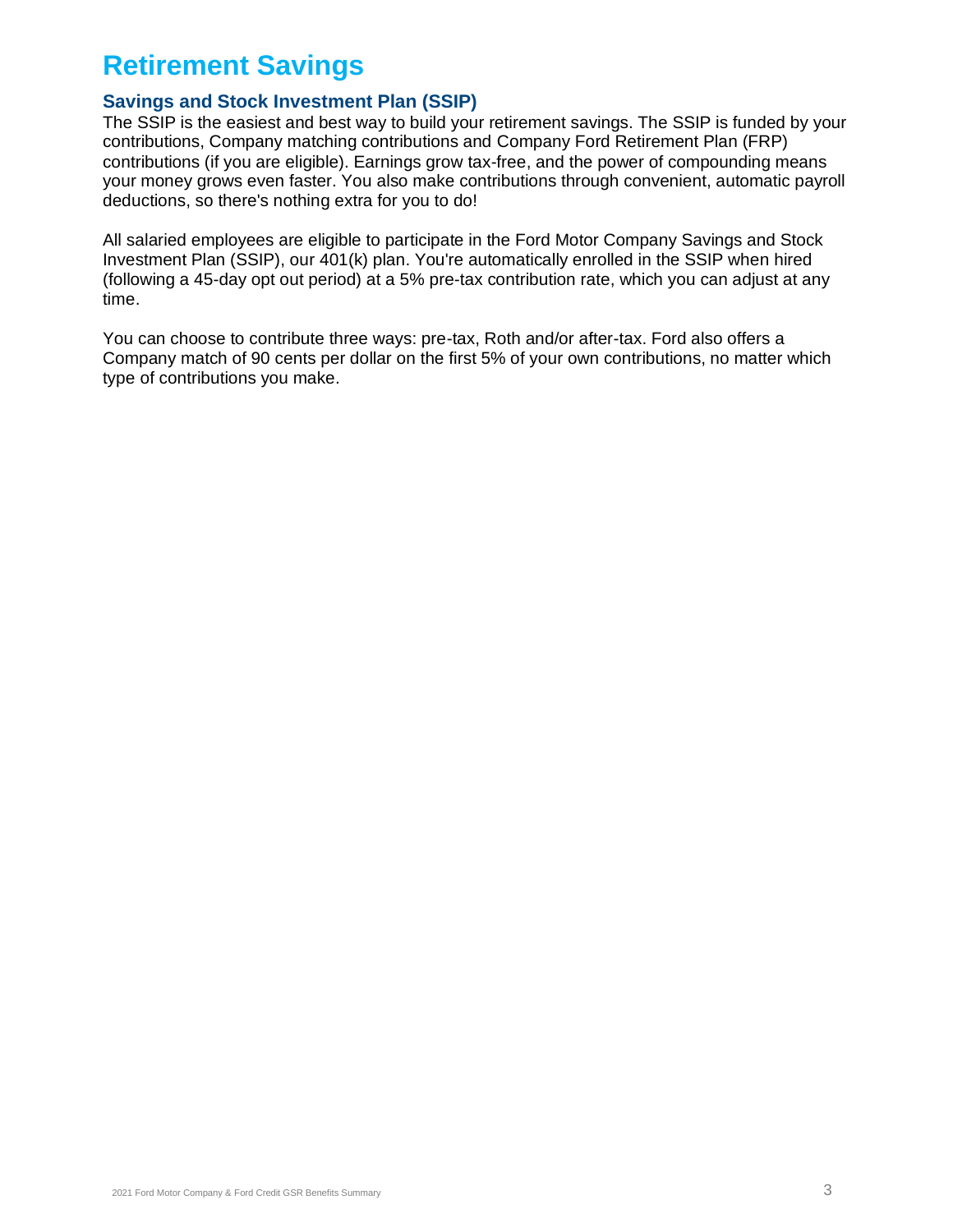# **Retirement Savings**

# **Savings and Stock Investment Plan (SSIP)**

The SSIP is the easiest and best way to build your retirement savings. The SSIP is funded by your contributions, Company matching contributions and Company Ford Retirement Plan (FRP) contributions (if you are eligible). Earnings grow tax-free, and the power of compounding means your money grows even faster. You also make contributions through convenient, automatic payroll deductions, so there's nothing extra for you to do!

All salaried employees are eligible to participate in the Ford Motor Company Savings and Stock Investment Plan (SSIP), our 401(k) plan. You're automatically enrolled in the SSIP when hired (following a 45-day opt out period) at a 5% pre-tax contribution rate, which you can adjust at any time.

You can choose to contribute three ways: pre-tax, Roth and/or after-tax. Ford also offers a Company match of 90 cents per dollar on the first 5% of your own contributions, no matter which type of contributions you make.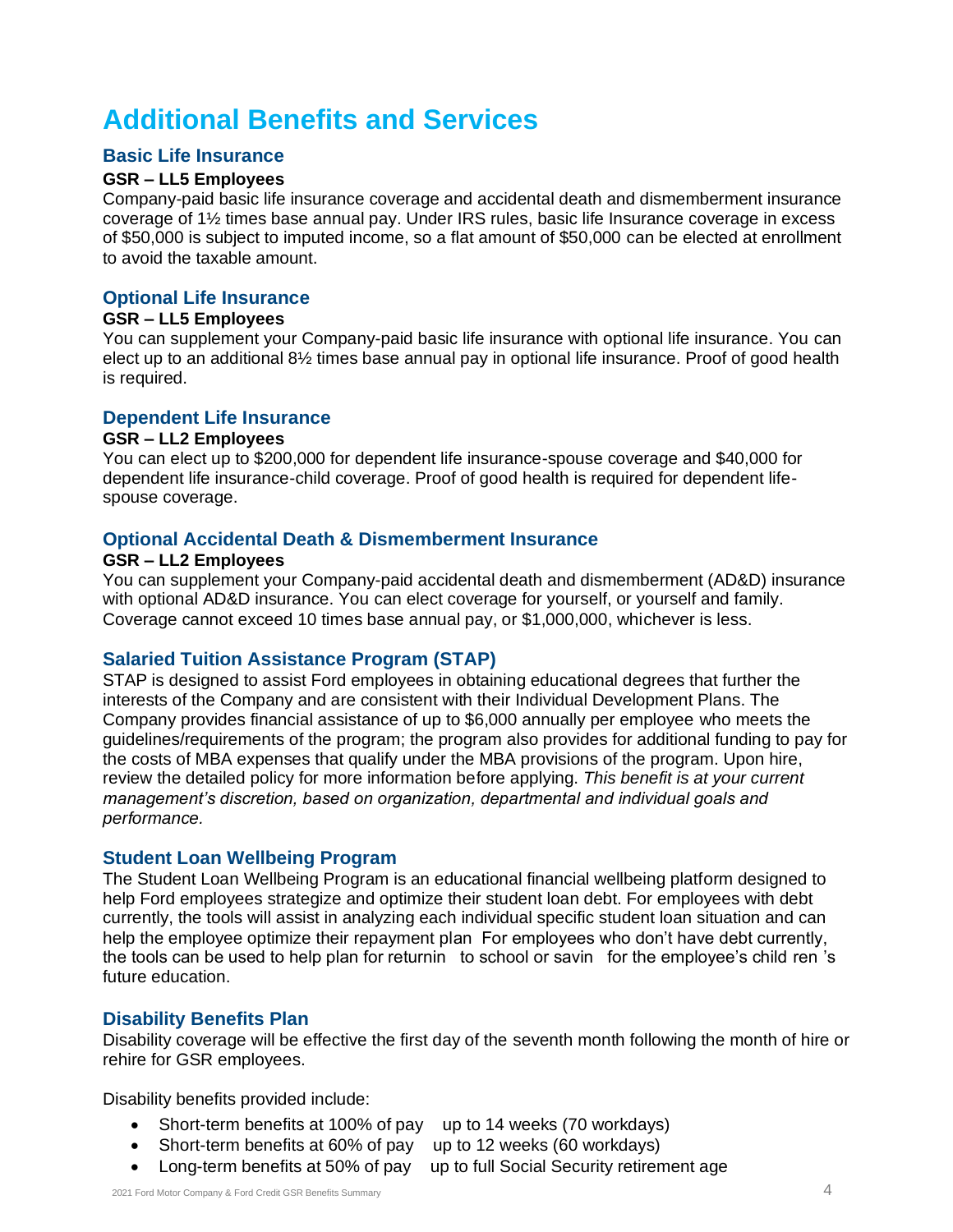# **Additional Benefits and Services**

### **Basic Life Insurance**

### **GSR – LL5 Employees**

Company-paid basic life insurance coverage and accidental death and dismemberment insurance coverage of 1½ times base annual pay. Under IRS rules, basic life Insurance coverage in excess of \$50,000 is subject to imputed income, so a flat amount of \$50,000 can be elected at enrollment to avoid the taxable amount.

# **Optional Life Insurance**

### **GSR – LL5 Employees**

You can supplement your Company-paid basic life insurance with optional life insurance. You can elect up to an additional 8½ times base annual pay in optional life insurance. Proof of good health is required.

### **Dependent Life Insurance**

#### **GSR – LL2 Employees**

You can elect up to \$200,000 for dependent life insurance-spouse coverage and \$40,000 for dependent life insurance-child coverage. Proof of good health is required for dependent lifespouse coverage.

### **Optional Accidental Death & Dismemberment Insurance**

#### **GSR – LL2 Employees**

You can supplement your Company-paid accidental death and dismemberment (AD&D) insurance with optional AD&D insurance. You can elect coverage for yourself, or yourself and family. Coverage cannot exceed 10 times base annual pay, or \$1,000,000, whichever is less.

# **Salaried Tuition Assistance Program (STAP)**

 *management's discretion, based on organization, departmental and individual goals and* STAP is designed to assist Ford employees in obtaining educational degrees that further the interests of the Company and are consistent with their Individual Development Plans. The Company provides financial assistance of up to \$6,000 annually per employee who meets the guidelines/requirements of the program; the program also provides for additional funding to pay for the costs of MBA expenses that qualify under the MBA provisions of the program. Upon hire, review the detailed policy for more information before applying. *This benefit is at your current performance.* 

### **Student Loan Wellbeing Program**

 help the employee optimize their repayment plan. For employees who don't have debt currently, the tools can be used to help plan for returnin to school or savin for the employee's child ren 's The Student Loan Wellbeing Program is an educational financial wellbeing platform designed to help Ford employees strategize and optimize their student loan debt. For employees with debt currently, the tools will assist in analyzing each individual specific student loan situation and can future education.

# **Disability Benefits Plan**

Disability coverage will be effective the first day of the seventh month following the month of hire or rehire for GSR employees.

Disability benefits provided include:

- Short-term benefits at 100% of pay up to 14 weeks (70 workdays)
- Short-term benefits at 60% of pay up to 12 weeks (60 workdays)
- Long-term benefits at 50% of pay up to full Social Security retirement age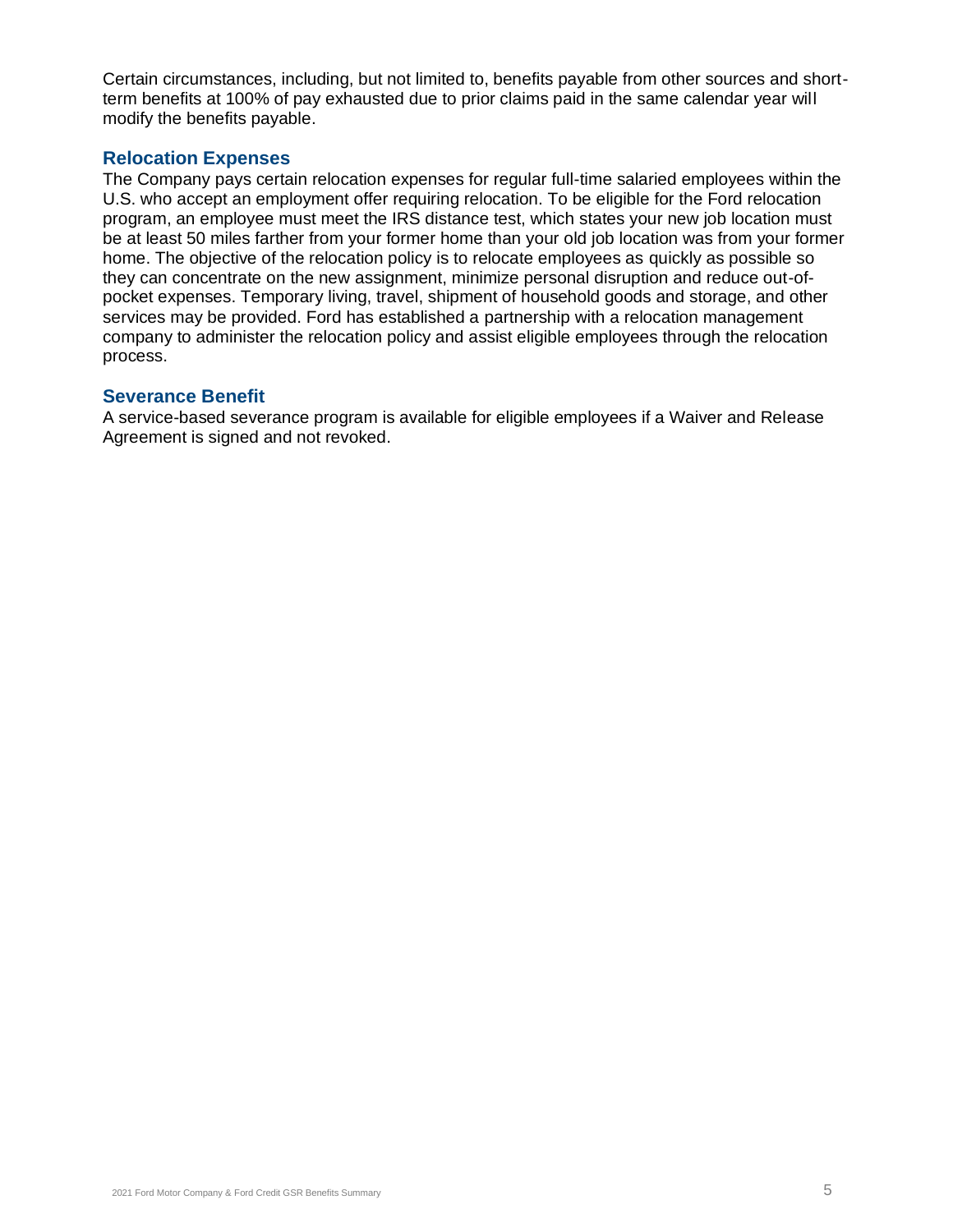Certain circumstances, including, but not limited to, benefits payable from other sources and shortterm benefits at 100% of pay exhausted due to prior claims paid in the same calendar year will modify the benefits payable.

#### **Relocation Expenses**

The Company pays certain relocation expenses for regular full-time salaried employees within the U.S. who accept an employment offer requiring relocation. To be eligible for the Ford relocation program, an employee must meet the IRS distance test, which states your new job location must be at least 50 miles farther from your former home than your old job location was from your former home. The objective of the relocation policy is to relocate employees as quickly as possible so they can concentrate on the new assignment, minimize personal disruption and reduce out-ofpocket expenses. Temporary living, travel, shipment of household goods and storage, and other services may be provided. Ford has established a partnership with a relocation management company to administer the relocation policy and assist eligible employees through the relocation process.

#### **Severance Benefit**

A service-based severance program is available for eligible employees if a Waiver and Release Agreement is signed and not revoked.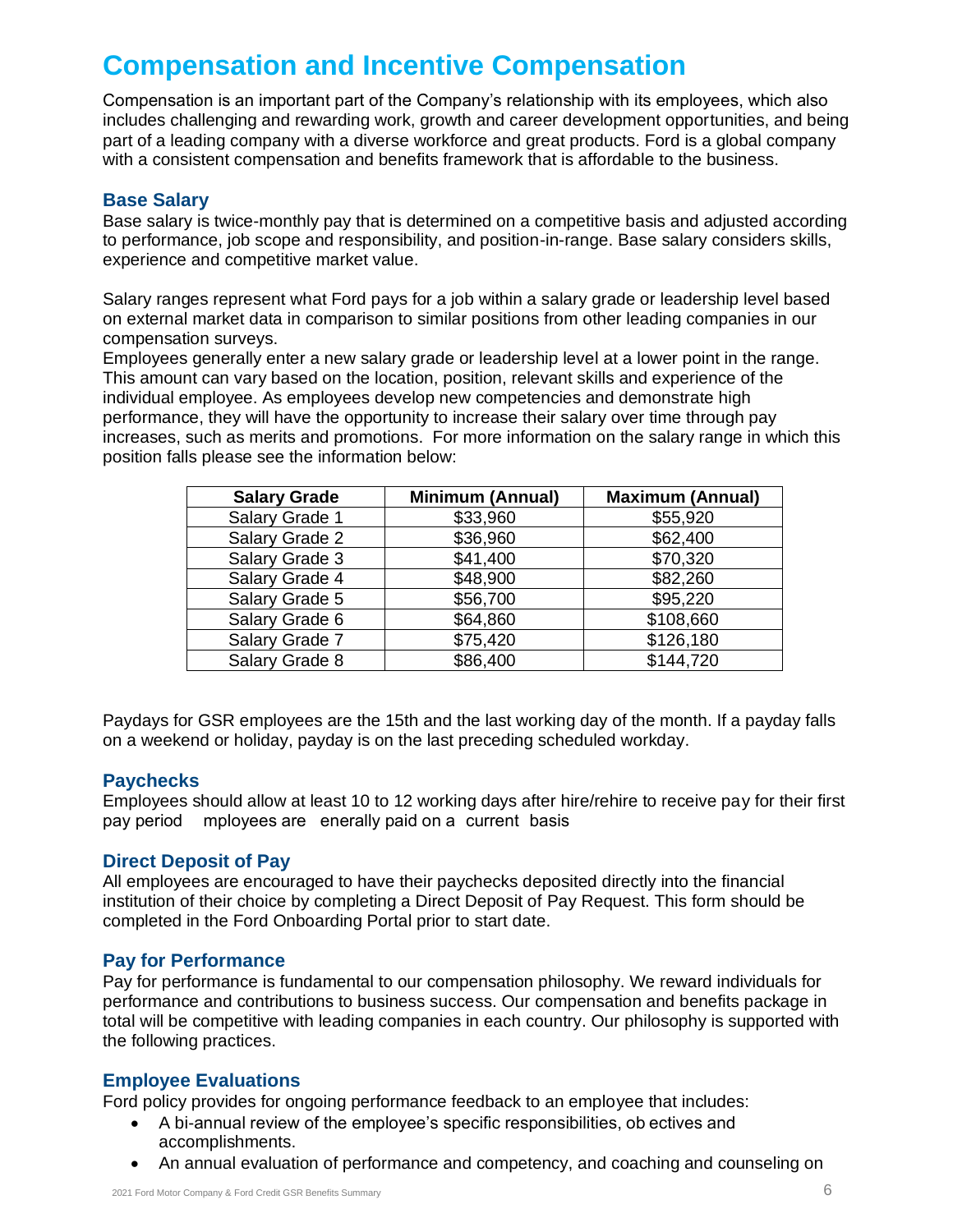# **Compensation and Incentive Compensation**

 Compensation is an important part of the Company's relationship with its employees, which also includes challenging and rewarding work, growth and career development opportunities, and being part of a leading company with a diverse workforce and great products. Ford is a global company with a consistent compensation and benefits framework that is affordable to the business.

### **Base Salary**

Base salary is twice-monthly pay that is determined on a competitive basis and adjusted according to performance, job scope and responsibility, and position-in-range. Base salary considers skills, experience and competitive market value.

Salary ranges represent what Ford pays for a job within a salary grade or leadership level based on external market data in comparison to similar positions from other leading companies in our compensation surveys.

Employees generally enter a new salary grade or leadership level at a lower point in the range. This amount can vary based on the location, position, relevant skills and experience of the individual employee. As employees develop new competencies and demonstrate high performance, they will have the opportunity to increase their salary over time through pay increases, such as merits and promotions. For more information on the salary range in which this position falls please see the information below:

| <b>Salary Grade</b> | <b>Minimum (Annual)</b> | <b>Maximum (Annual)</b> |
|---------------------|-------------------------|-------------------------|
| Salary Grade 1      | \$33,960                | \$55,920                |
| Salary Grade 2      | \$36,960                | \$62,400                |
| Salary Grade 3      | \$41,400                | \$70,320                |
| Salary Grade 4      | \$48,900                | \$82,260                |
| Salary Grade 5      | \$56,700                | \$95,220                |
| Salary Grade 6      | \$64,860                | \$108,660               |
| Salary Grade 7      | \$75,420                | \$126,180               |
| Salary Grade 8      | \$86,400                | \$144,720               |

Paydays for GSR employees are the 15th and the last working day of the month. If a payday falls on a weekend or holiday, payday is on the last preceding scheduled workday.

### **Paychecks**

pay period mployees are enerally paid on a current basis. Employees should allow at least 10 to 12 working days after hire/rehire to receive pay for their first

### **Direct Deposit of Pay**

All employees are encouraged to have their paychecks deposited directly into the financial institution of their choice by completing a Direct Deposit of Pay Request. This form should be completed in the Ford Onboarding Portal prior to start date.

# **Pay for Performance**

Pay for performance is fundamental to our compensation philosophy. We reward individuals for performance and contributions to business success. Our compensation and benefits package in total will be competitive with leading companies in each country. Our philosophy is supported with the following practices.

# **Employee Evaluations**

Ford policy provides for ongoing performance feedback to an employee that includes:

- A bi-annual review of the employee's specific responsibilities, ob ectives and accomplishments.
- An annual evaluation of performance and competency, and coaching and counseling on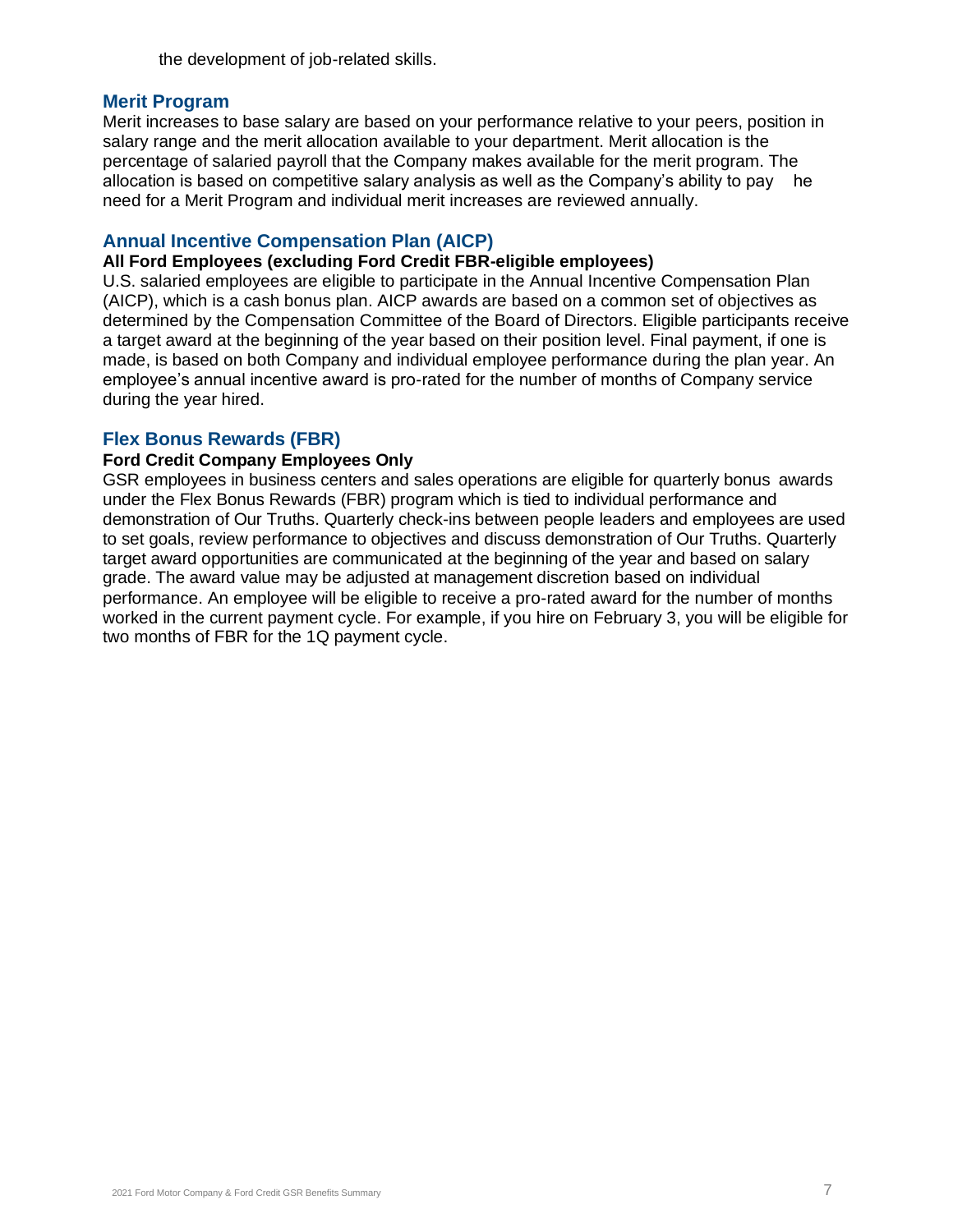the development of job-related skills.

#### **Merit Program**

allocation is based on competitive salary analysis as well as the Company's ability to pay he Merit increases to base salary are based on your performance relative to your peers, position in salary range and the merit allocation available to your department. Merit allocation is the percentage of salaried payroll that the Company makes available for the merit program. The need for a Merit Program and individual merit increases are reviewed annually.

#### **Annual Incentive Compensation Plan (AICP)**

### **All Ford Employees (excluding Ford Credit FBR-eligible employees)**

 employee's annual incentive award is pro-rated for the number of months of Company service U.S. salaried employees are eligible to participate in the Annual Incentive Compensation Plan (AICP), which is a cash bonus plan. AICP awards are based on a common set of objectives as determined by the Compensation Committee of the Board of Directors. Eligible participants receive a target award at the beginning of the year based on their position level. Final payment, if one is made, is based on both Company and individual employee performance during the plan year. An during the year hired.

#### **Flex Bonus Rewards (FBR)**

#### **Ford Credit Company Employees Only**

GSR employees in business centers and sales operations are eligible for quarterly bonus awards under the Flex Bonus Rewards (FBR) program which is tied to individual performance and demonstration of Our Truths. Quarterly check-ins between people leaders and employees are used to set goals, review performance to objectives and discuss demonstration of Our Truths. Quarterly target award opportunities are communicated at the beginning of the year and based on salary grade. The award value may be adjusted at management discretion based on individual performance. An employee will be eligible to receive a pro-rated award for the number of months worked in the current payment cycle. For example, if you hire on February 3, you will be eligible for two months of FBR for the 1Q payment cycle.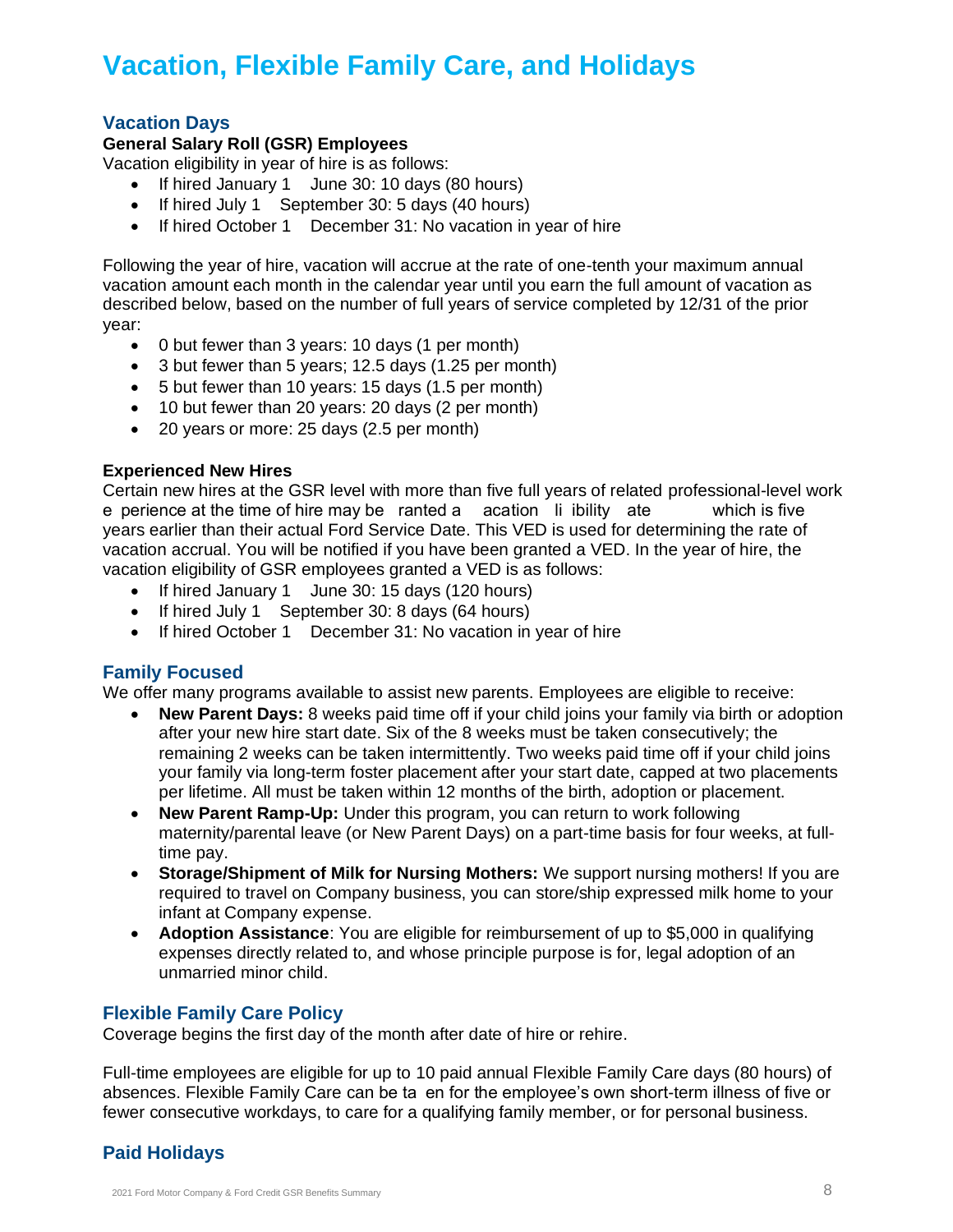# **Vacation, Flexible Family Care, and Holidays**

# **Vacation Days**

### **General Salary Roll (GSR) Employees**

Vacation eligibility in year of hire is as follows:

- If hired January 1 June 30: 10 days (80 hours)
- If hired July 1 September 30: 5 days (40 hours)
- If hired October 1 December 31: No vacation in year of hire

Following the year of hire, vacation will accrue at the rate of one-tenth your maximum annual vacation amount each month in the calendar year until you earn the full amount of vacation as described below, based on the number of full years of service completed by 12/31 of the prior year:

- 0 but fewer than 3 years: 10 days (1 per month)
- 3 but fewer than 5 years; 12.5 days (1.25 per month)
- 5 but fewer than 10 years: 15 days (1.5 per month)
- 10 but fewer than 20 years: 20 days (2 per month)
- 20 years or more: 25 days (2.5 per month)

#### **Experienced New Hires**

e perience at the time of hire may be ranted a acation Ii ibility ate sounch is five Certain new hires at the GSR level with more than five full years of related professional-level work years earlier than their actual Ford Service Date. This VED is used for determining the rate of vacation accrual. You will be notified if you have been granted a VED. In the year of hire, the vacation eligibility of GSR employees granted a VED is as follows:

- If hired January 1 June 30: 15 days (120 hours)
- If hired July 1 September 30: 8 days (64 hours)
- If hired October 1 December 31: No vacation in year of hire

### **Family Focused**

We offer many programs available to assist new parents. Employees are eligible to receive:

- **New Parent Days:** 8 weeks paid time off if your child joins your family via birth or adoption after your new hire start date. Six of the 8 weeks must be taken consecutively; the remaining 2 weeks can be taken intermittently. Two weeks paid time off if your child joins your family via long-term foster placement after your start date, capped at two placements per lifetime. All must be taken within 12 months of the birth, adoption or placement.
- **New Parent Ramp-Up:** Under this program, you can return to work following maternity/parental leave (or New Parent Days) on a part-time basis for four weeks, at fulltime pay.
- **Storage/Shipment of Milk for Nursing Mothers:** We support nursing mothers! If you are required to travel on Company business, you can store/ship expressed milk home to your infant at Company expense.
- **Adoption Assistance**: You are eligible for reimbursement of up to \$5,000 in qualifying expenses directly related to, and whose principle purpose is for, legal adoption of an unmarried minor child.

# **Flexible Family Care Policy**

Coverage begins the first day of the month after date of hire or rehire.

absences. Flexible Family Care can be ta en for the employee's own short-term illness of five or Full-time employees are eligible for up to 10 paid annual Flexible Family Care days (80 hours) of fewer consecutive workdays, to care for a qualifying family member, or for personal business.

# **Paid Holidays**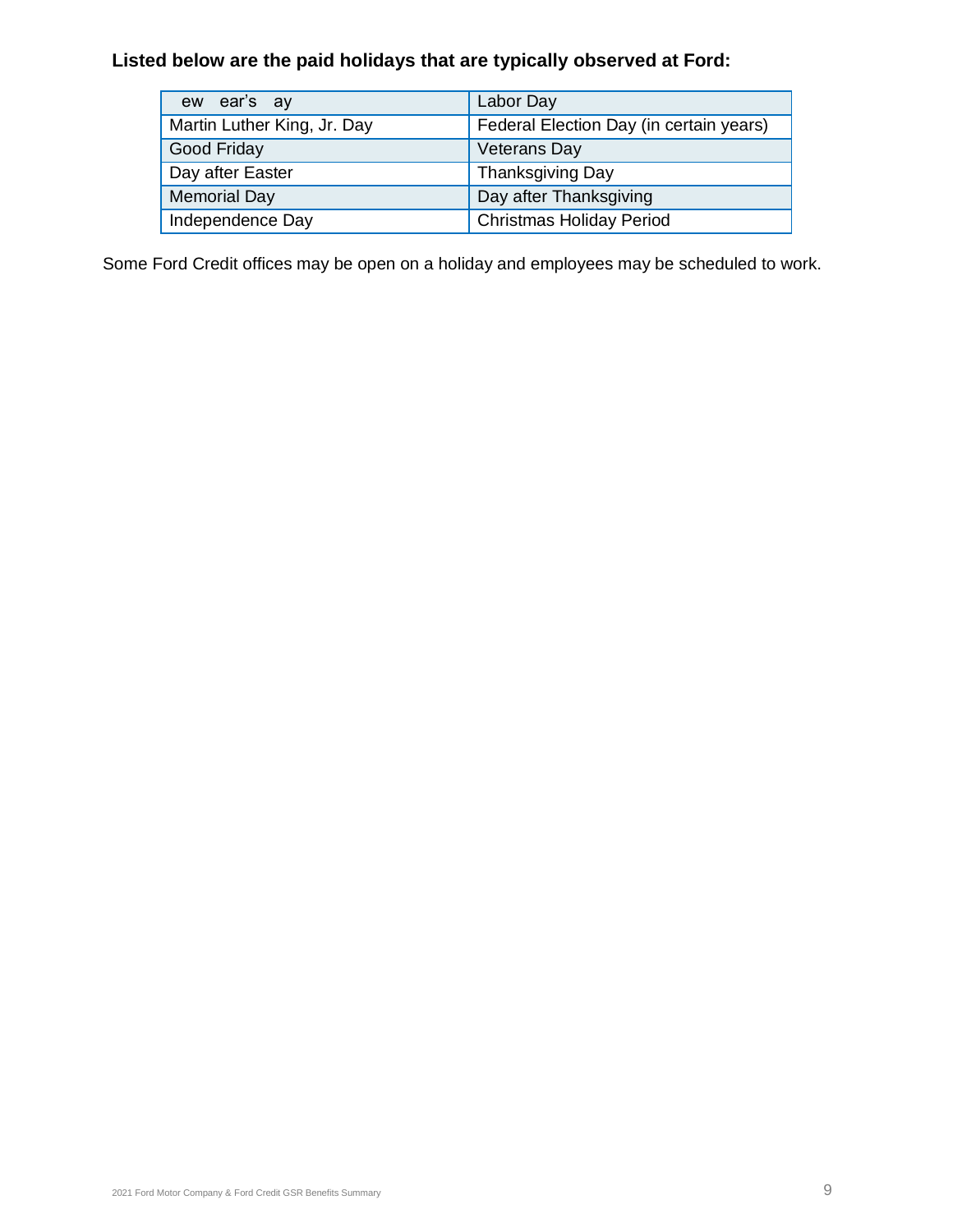# **Listed below are the paid holidays that are typically observed at Ford:**

| ew ear's ay                 | Labor Day                               |
|-----------------------------|-----------------------------------------|
| Martin Luther King, Jr. Day | Federal Election Day (in certain years) |
| Good Friday                 | <b>Veterans Day</b>                     |
| Day after Easter            | Thanksgiving Day                        |
| <b>Memorial Day</b>         | Day after Thanksgiving                  |
| Independence Day            | <b>Christmas Holiday Period</b>         |

Some Ford Credit offices may be open on a holiday and employees may be scheduled to work.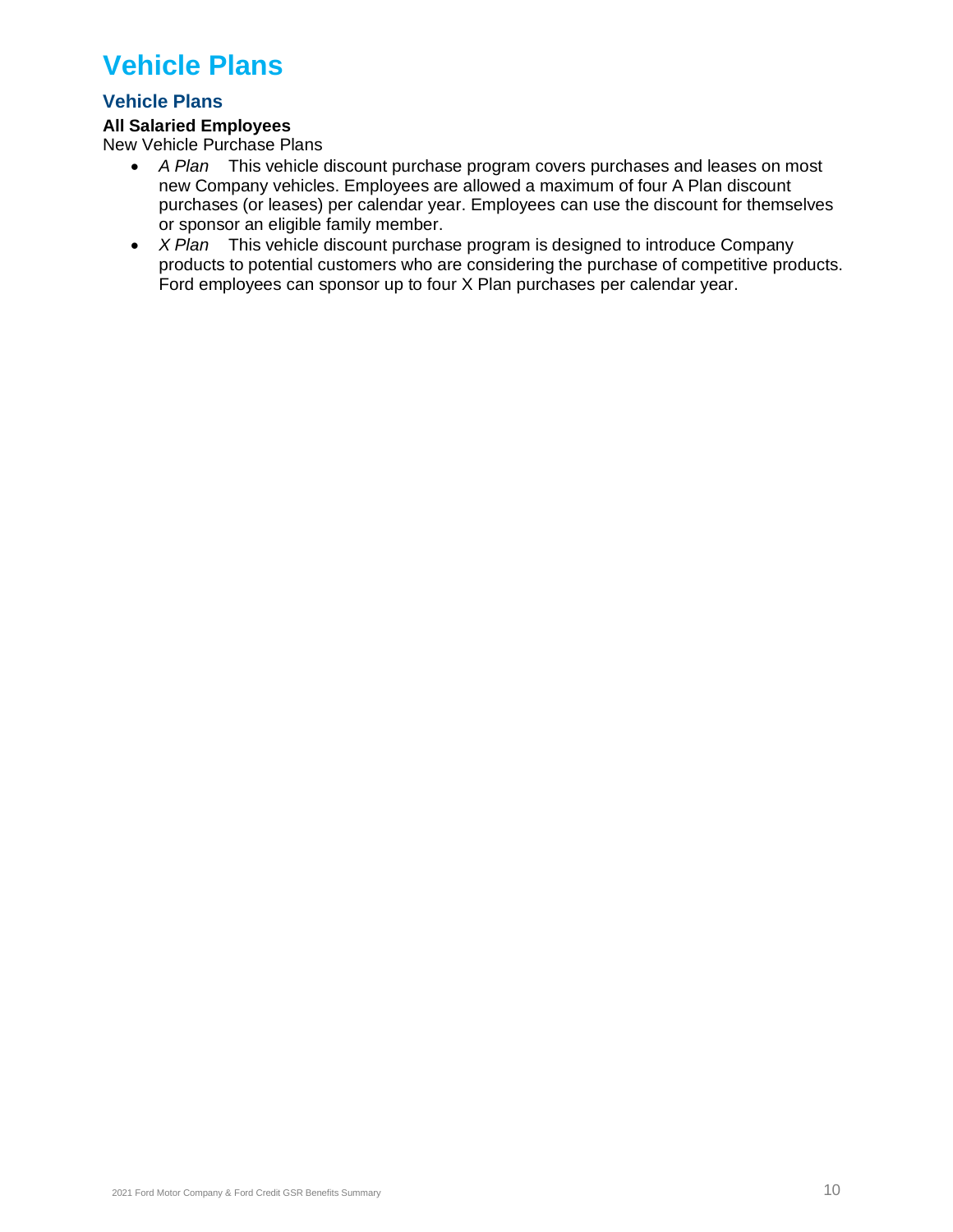# **Vehicle Plans**

# **Vehicle Plans**

### **All Salaried Employees**

New Vehicle Purchase Plans

- *A Plan* This vehicle discount purchase program covers purchases and leases on most new Company vehicles. Employees are allowed a maximum of four A Plan discount purchases (or leases) per calendar year. Employees can use the discount for themselves or sponsor an eligible family member.
- *X Plan* This vehicle discount purchase program is designed to introduce Company products to potential customers who are considering the purchase of competitive products. Ford employees can sponsor up to four X Plan purchases per calendar year.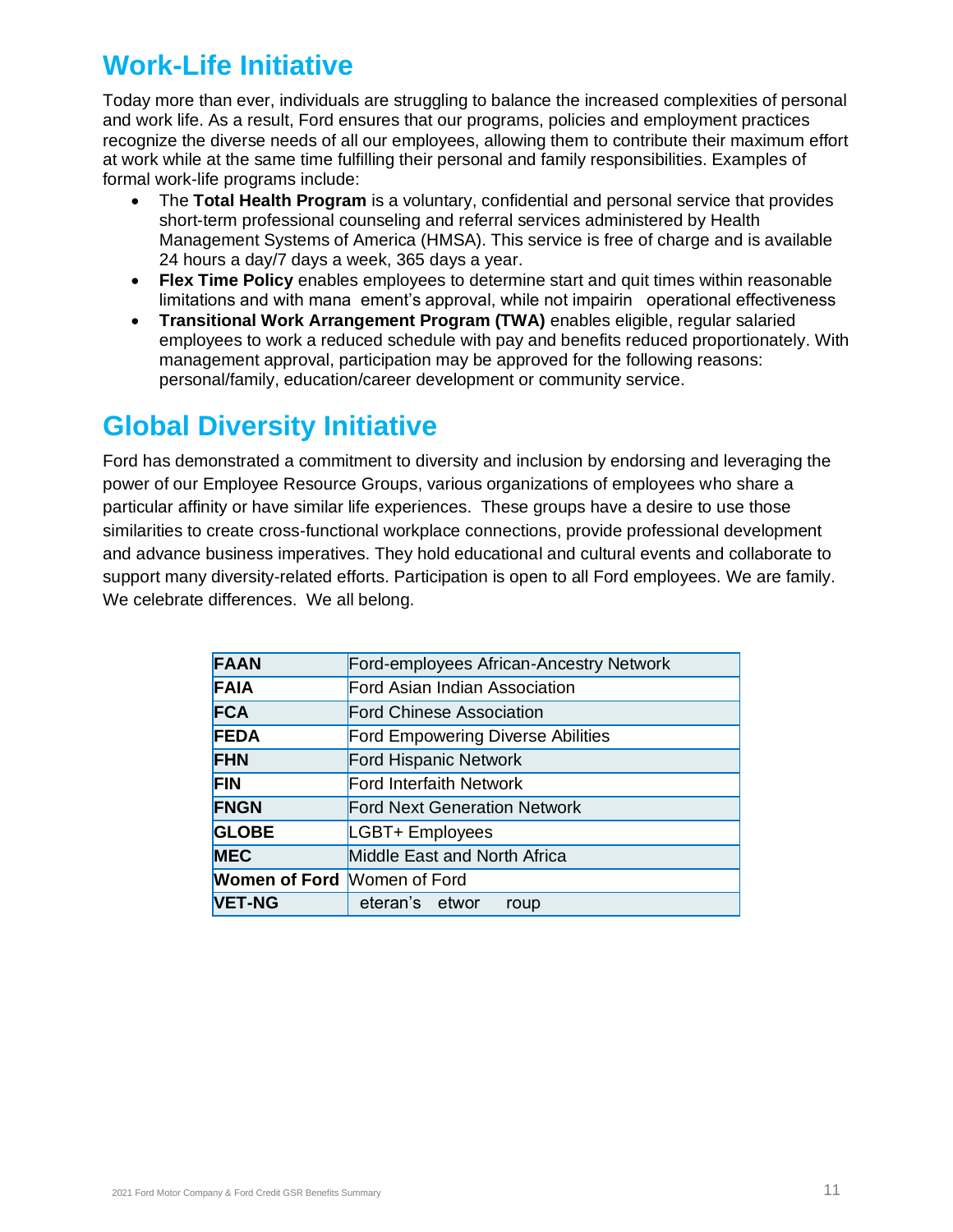# **Work-Life Initiative**

Today more than ever, individuals are struggling to balance the increased complexities of personal and work life. As a result, Ford ensures that our programs, policies and employment practices recognize the diverse needs of all our employees, allowing them to contribute their maximum effort at work while at the same time fulfilling their personal and family responsibilities. Examples of formal work-life programs include:

- The **Total Health Program** is a voluntary, confidential and personal service that provides short-term professional counseling and referral services administered by Health Management Systems of America (HMSA). This service is free of charge and is available 24 hours a day/7 days a week, 365 days a year.
- limitations and with mana ement's approval, while not impairin operational effectiveness. • **Flex Time Policy** enables employees to determine start and quit times within reasonable
- **Transitional Work Arrangement Program (TWA)** enables eligible, regular salaried employees to work a reduced schedule with pay and benefits reduced proportionately. With management approval, participation may be approved for the following reasons: personal/family, education/career development or community service.

# **Global Diversity Initiative**

Ford has demonstrated a commitment to diversity and inclusion by endorsing and leveraging the power of our Employee Resource Groups, various organizations of employees who share a particular affinity or have similar life experiences. These groups have a desire to use those similarities to create cross-functional workplace connections, provide professional development and advance business imperatives. They hold educational and cultural events and collaborate to support many diversity-related efforts. Participation is open to all Ford employees. We are family. We celebrate differences. We all belong.

| <b>FAAN</b>                        | Ford-employees African-Ancestry Network  |
|------------------------------------|------------------------------------------|
| <b>FAIA</b>                        | Ford Asian Indian Association            |
| <b>FCA</b>                         | <b>Ford Chinese Association</b>          |
| <b>FEDA</b>                        | <b>Ford Empowering Diverse Abilities</b> |
| <b>FHN</b>                         | Ford Hispanic Network                    |
| <b>FIN</b>                         | Ford Interfaith Network                  |
| <b>FNGN</b>                        | <b>Ford Next Generation Network</b>      |
| <b>GLOBE</b>                       | LGBT+ Employees                          |
| <b>MEC</b>                         | Middle East and North Africa             |
| <b>Women of Ford Momen of Ford</b> |                                          |
| <b>VET-NG</b>                      | eteran's etwor<br>roup                   |